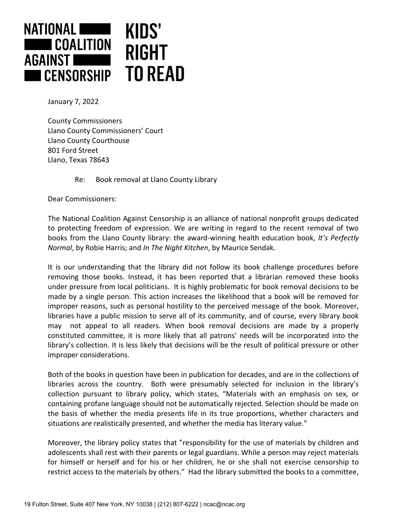

January 7, 2022

County Commissioners Llano County Commissioners' Court Llano County Courthouse 801 Ford Street Llano, Texas 78643

## Re: Book removal at Llano County Library

Dear Commissioners:

The National Coalition Against Censorship is an alliance of national nonprofit groups dedicated to protecting freedom of expression. We are writing in regard to the recent removal of two books from the Llano County library: the award-winning health education book, *It's Perfectly Normal*, by Robie Harris; and *In The Night Kitchen*, by Maurice Sendak.

It is our understanding that the library did not follow its book challenge procedures before removing those books. Instead, it has been reported that a librarian removed these books under pressure from local politicians. It is highly problematic for book removal decisions to be made by a single person. This action increases the likelihood that a book will be removed for improper reasons, such as personal hostility to the perceived message of the book. Moreover, libraries have a public mission to serve all of its community, and of course, every library book may not appeal to all readers. When book removal decisions are made by a properly constituted committee, it is more likely that all patrons' needs will be incorporated into the library's collection. It is less likely that decisions will be the result of political pressure or other improper considerations.

Both of the books in question have been in publication for decades, and are in the collections of libraries across the country. Both were presumably selected for inclusion in the library's collection pursuant to library policy, which states, "Materials with an emphasis on sex, or containing profane language should not be automatically rejected. Selection should be made on the basis of whether the media presents life in its true proportions, whether characters and situations are realistically presented, and whether the media has literary value."

Moreover, the library policy states that "responsibility for the use of materials by children and adolescents shall rest with their parents or legal guardians. While a person may reject materials for himself or herself and for his or her children, he or she shall not exercise censorship to restrict access to the materials by others." Had the library submitted the books to a committee,